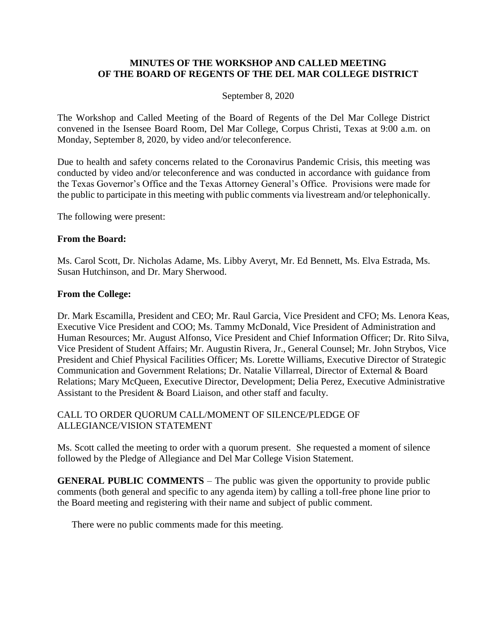#### **MINUTES OF THE WORKSHOP AND CALLED MEETING OF THE BOARD OF REGENTS OF THE DEL MAR COLLEGE DISTRICT**

#### September 8, 2020

The Workshop and Called Meeting of the Board of Regents of the Del Mar College District convened in the Isensee Board Room, Del Mar College, Corpus Christi, Texas at 9:00 a.m. on Monday, September 8, 2020, by video and/or teleconference.

Due to health and safety concerns related to the Coronavirus Pandemic Crisis, this meeting was conducted by video and/or teleconference and was conducted in accordance with guidance from the Texas Governor's Office and the Texas Attorney General's Office. Provisions were made for the public to participate in this meeting with public comments via livestream and/or telephonically.

The following were present:

#### **From the Board:**

Ms. Carol Scott, Dr. Nicholas Adame, Ms. Libby Averyt, Mr. Ed Bennett, Ms. Elva Estrada, Ms. Susan Hutchinson, and Dr. Mary Sherwood.

#### **From the College:**

Dr. Mark Escamilla, President and CEO; Mr. Raul Garcia, Vice President and CFO; Ms. Lenora Keas, Executive Vice President and COO; Ms. Tammy McDonald, Vice President of Administration and Human Resources; Mr. August Alfonso, Vice President and Chief Information Officer; Dr. Rito Silva, Vice President of Student Affairs; Mr. Augustin Rivera, Jr., General Counsel; Mr. John Strybos, Vice President and Chief Physical Facilities Officer; Ms. Lorette Williams, Executive Director of Strategic Communication and Government Relations; Dr. Natalie Villarreal, Director of External & Board Relations; Mary McQueen, Executive Director, Development; Delia Perez, Executive Administrative Assistant to the President & Board Liaison, and other staff and faculty.

## CALL TO ORDER QUORUM CALL/MOMENT OF SILENCE/PLEDGE OF ALLEGIANCE/VISION STATEMENT

Ms. Scott called the meeting to order with a quorum present. She requested a moment of silence followed by the Pledge of Allegiance and Del Mar College Vision Statement.

**GENERAL PUBLIC COMMENTS** – The public was given the opportunity to provide public comments (both general and specific to any agenda item) by calling a toll-free phone line prior to the Board meeting and registering with their name and subject of public comment.

There were no public comments made for this meeting.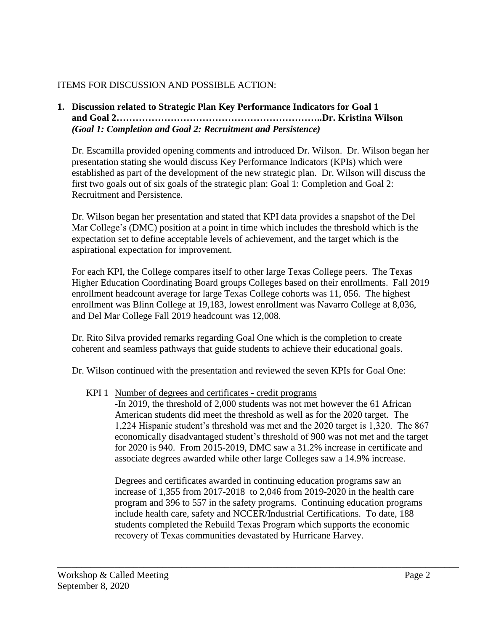# ITEMS FOR DISCUSSION AND POSSIBLE ACTION:

## **1. Discussion related to Strategic Plan Key Performance Indicators for Goal 1 and Goal 2………………………………………………………..Dr. Kristina Wilson** *(Goal 1: Completion and Goal 2: Recruitment and Persistence)*

Dr. Escamilla provided opening comments and introduced Dr. Wilson. Dr. Wilson began her presentation stating she would discuss Key Performance Indicators (KPIs) which were established as part of the development of the new strategic plan. Dr. Wilson will discuss the first two goals out of six goals of the strategic plan: Goal 1: Completion and Goal 2: Recruitment and Persistence.

Dr. Wilson began her presentation and stated that KPI data provides a snapshot of the Del Mar College's (DMC) position at a point in time which includes the threshold which is the expectation set to define acceptable levels of achievement, and the target which is the aspirational expectation for improvement.

For each KPI, the College compares itself to other large Texas College peers. The Texas Higher Education Coordinating Board groups Colleges based on their enrollments. Fall 2019 enrollment headcount average for large Texas College cohorts was 11, 056. The highest enrollment was Blinn College at 19,183, lowest enrollment was Navarro College at 8,036, and Del Mar College Fall 2019 headcount was 12,008.

Dr. Rito Silva provided remarks regarding Goal One which is the completion to create coherent and seamless pathways that guide students to achieve their educational goals.

Dr. Wilson continued with the presentation and reviewed the seven KPIs for Goal One:

KPI 1 Number of degrees and certificates - credit programs

-In 2019, the threshold of 2,000 students was not met however the 61 African American students did meet the threshold as well as for the 2020 target. The 1,224 Hispanic student's threshold was met and the 2020 target is 1,320. The 867 economically disadvantaged student's threshold of 900 was not met and the target for 2020 is 940. From 2015-2019, DMC saw a 31.2% increase in certificate and associate degrees awarded while other large Colleges saw a 14.9% increase.

Degrees and certificates awarded in continuing education programs saw an increase of 1,355 from 2017-2018 to 2,046 from 2019-2020 in the health care program and 396 to 557 in the safety programs. Continuing education programs include health care, safety and NCCER/Industrial Certifications. To date, 188 students completed the Rebuild Texas Program which supports the economic recovery of Texas communities devastated by Hurricane Harvey.

\_\_\_\_\_\_\_\_\_\_\_\_\_\_\_\_\_\_\_\_\_\_\_\_\_\_\_\_\_\_\_\_\_\_\_\_\_\_\_\_\_\_\_\_\_\_\_\_\_\_\_\_\_\_\_\_\_\_\_\_\_\_\_\_\_\_\_\_\_\_\_\_\_\_\_\_\_\_\_\_\_\_\_\_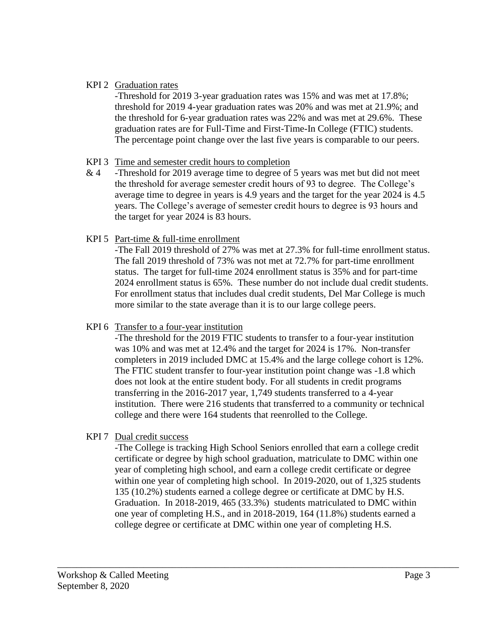## KPI 2 Graduation rates

-Threshold for 2019 3-year graduation rates was 15% and was met at 17.8%; threshold for 2019 4-year graduation rates was 20% and was met at 21.9%; and the threshold for 6-year graduation rates was 22% and was met at 29.6%. These graduation rates are for Full-Time and First-Time-In College (FTIC) students. The percentage point change over the last five years is comparable to our peers.

## KPI 3 Time and semester credit hours to completion

& 4 -Threshold for 2019 average time to degree of 5 years was met but did not meet the threshold for average semester credit hours of 93 to degree. The College's average time to degree in years is 4.9 years and the target for the year 2024 is 4.5 years. The College's average of semester credit hours to degree is 93 hours and the target for year 2024 is 83 hours.

# KPI 5 Part-time & full-time enrollment

-The Fall 2019 threshold of 27% was met at 27.3% for full-time enrollment status. The fall 2019 threshold of 73% was not met at 72.7% for part-time enrollment status. The target for full-time 2024 enrollment status is 35% and for part-time 2024 enrollment status is 65%. These number do not include dual credit students. For enrollment status that includes dual credit students, Del Mar College is much more similar to the state average than it is to our large college peers.

# KPI 6 Transfer to a four-year institution

-The threshold for the 2019 FTIC students to transfer to a four-year institution was 10% and was met at 12.4% and the target for 2024 is 17%. Non-transfer completers in 2019 included DMC at 15.4% and the large college cohort is 12%. The FTIC student transfer to four-year institution point change was -1.8 which does not look at the entire student body. For all students in credit programs transferring in the 2016-2017 year, 1,749 students transferred to a 4-year institution. There were 216 students that transferred to a community or technical college and there were 164 students that reenrolled to the College.

# KPI 7 Dual credit success

-The College is tracking High School Seniors enrolled that earn a college credit certificate or degree by high school graduation, matriculate to DMC within one year of completing high school, and earn a college credit certificate or degree within one year of completing high school. In 2019-2020, out of 1,325 students 135 (10.2%) students earned a college degree or certificate at DMC by H.S. Graduation. In 2018-2019, 465 (33.3%) students matriculated to DMC within one year of completing H.S., and in 2018-2019, 164 (11.8%) students earned a college degree or certificate at DMC within one year of completing H.S.

\_\_\_\_\_\_\_\_\_\_\_\_\_\_\_\_\_\_\_\_\_\_\_\_\_\_\_\_\_\_\_\_\_\_\_\_\_\_\_\_\_\_\_\_\_\_\_\_\_\_\_\_\_\_\_\_\_\_\_\_\_\_\_\_\_\_\_\_\_\_\_\_\_\_\_\_\_\_\_\_\_\_\_\_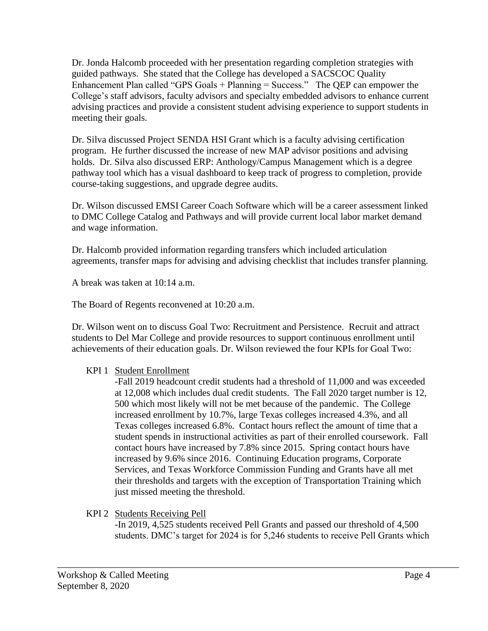Dr. Jonda Halcomb proceeded with her presentation regarding completion strategies with guided pathways. She stated that the College has developed a SACSCOC Quality Enhancement Plan called "GPS Goals  $+$  Planning  $=$  Success." The QEP can empower the College's staff advisors, faculty advisors and specialty embedded advisors to enhance current advising practices and provide a consistent student advising experience to support students in meeting their goals.

Dr. Silva discussed Project SENDA HSI Grant which is a faculty advising certification program. He further discussed the increase of new MAP advisor positions and advising holds. Dr. Silva also discussed ERP: Anthology/Campus Management which is a degree pathway tool which has a visual dashboard to keep track of progress to completion, provide course-taking suggestions, and upgrade degree audits.

Dr. Wilson discussed EMSI Career Coach Software which will be a career assessment linked to DMC College Catalog and Pathways and will provide current local labor market demand and wage information.

Dr. Halcomb provided information regarding transfers which included articulation agreements, transfer maps for advising and advising checklist that includes transfer planning.

A break was taken at 10:14 a.m.

The Board of Regents reconvened at 10:20 a.m.

Dr. Wilson went on to discuss Goal Two: Recruitment and Persistence. Recruit and attract students to Del Mar College and provide resources to support continuous enrollment until achievements of their education goals. Dr. Wilson reviewed the four KPIs for Goal Two:

# KPI 1 Student Enrollment

-Fall 2019 headcount credit students had a threshold of 11,000 and was exceeded at 12,008 which includes dual credit students. The Fall 2020 target number is 12, 500 which most likely will not be met because of the pandemic. The College increased enrollment by 10.7%, large Texas colleges increased 4.3%, and all Texas colleges increased 6.8%. Contact hours reflect the amount of time that a student spends in instructional activities as part of their enrolled coursework. Fall contact hours have increased by 7.8% since 2015. Spring contact hours have increased by 9.6% since 2016. Continuing Education programs, Corporate Services, and Texas Workforce Commission Funding and Grants have all met their thresholds and targets with the exception of Transportation Training which just missed meeting the threshold.

KPI 2 Students Receiving Pell

-In 2019, 4,525 students received Pell Grants and passed our threshold of 4,500 students. DMC's target for 2024 is for 5,246 students to receive Pell Grants which

\_\_\_\_\_\_\_\_\_\_\_\_\_\_\_\_\_\_\_\_\_\_\_\_\_\_\_\_\_\_\_\_\_\_\_\_\_\_\_\_\_\_\_\_\_\_\_\_\_\_\_\_\_\_\_\_\_\_\_\_\_\_\_\_\_\_\_\_\_\_\_\_\_\_\_\_\_\_\_\_\_\_\_\_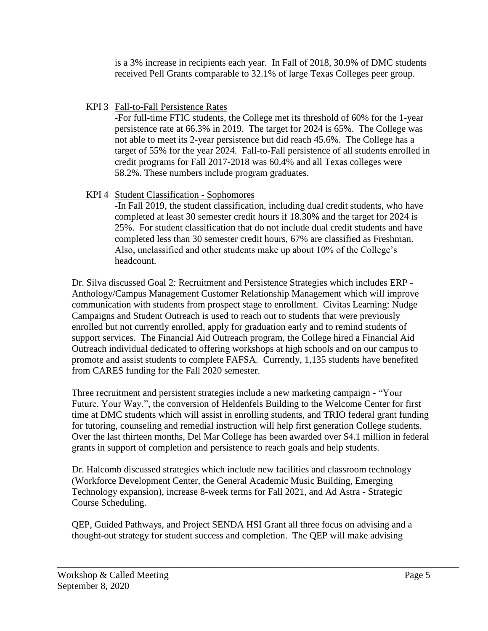is a 3% increase in recipients each year. In Fall of 2018, 30.9% of DMC students received Pell Grants comparable to 32.1% of large Texas Colleges peer group.

KPI 3 Fall-to-Fall Persistence Rates

-For full-time FTIC students, the College met its threshold of 60% for the 1-year persistence rate at 66.3% in 2019. The target for 2024 is 65%. The College was not able to meet its 2-year persistence but did reach 45.6%. The College has a target of 55% for the year 2024. Fall-to-Fall persistence of all students enrolled in credit programs for Fall 2017-2018 was 60.4% and all Texas colleges were 58.2%. These numbers include program graduates.

# KPI 4 Student Classification - Sophomores

-In Fall 2019, the student classification, including dual credit students, who have completed at least 30 semester credit hours if 18.30% and the target for 2024 is 25%. For student classification that do not include dual credit students and have completed less than 30 semester credit hours, 67% are classified as Freshman. Also, unclassified and other students make up about 10% of the College's headcount.

Dr. Silva discussed Goal 2: Recruitment and Persistence Strategies which includes ERP - Anthology/Campus Management Customer Relationship Management which will improve communication with students from prospect stage to enrollment. Civitas Learning: Nudge Campaigns and Student Outreach is used to reach out to students that were previously enrolled but not currently enrolled, apply for graduation early and to remind students of support services. The Financial Aid Outreach program, the College hired a Financial Aid Outreach individual dedicated to offering workshops at high schools and on our campus to promote and assist students to complete FAFSA. Currently, 1,135 students have benefited from CARES funding for the Fall 2020 semester.

Three recruitment and persistent strategies include a new marketing campaign - "Your Future. Your Way.", the conversion of Heldenfels Building to the Welcome Center for first time at DMC students which will assist in enrolling students, and TRIO federal grant funding for tutoring, counseling and remedial instruction will help first generation College students. Over the last thirteen months, Del Mar College has been awarded over \$4.1 million in federal grants in support of completion and persistence to reach goals and help students.

Dr. Halcomb discussed strategies which include new facilities and classroom technology (Workforce Development Center, the General Academic Music Building, Emerging Technology expansion), increase 8-week terms for Fall 2021, and Ad Astra - Strategic Course Scheduling.

QEP, Guided Pathways, and Project SENDA HSI Grant all three focus on advising and a thought-out strategy for student success and completion. The QEP will make advising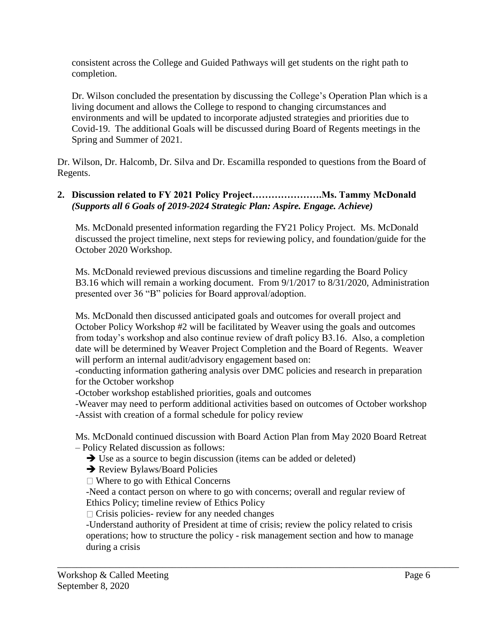consistent across the College and Guided Pathways will get students on the right path to completion.

Dr. Wilson concluded the presentation by discussing the College's Operation Plan which is a living document and allows the College to respond to changing circumstances and environments and will be updated to incorporate adjusted strategies and priorities due to Covid-19. The additional Goals will be discussed during Board of Regents meetings in the Spring and Summer of 2021.

Dr. Wilson, Dr. Halcomb, Dr. Silva and Dr. Escamilla responded to questions from the Board of Regents.

## **2. Discussion related to FY 2021 Policy Project………………….Ms. Tammy McDonald** *(Supports all 6 Goals of 2019-2024 Strategic Plan: Aspire. Engage. Achieve)*

Ms. McDonald presented information regarding the FY21 Policy Project. Ms. McDonald discussed the project timeline, next steps for reviewing policy, and foundation/guide for the October 2020 Workshop.

Ms. McDonald reviewed previous discussions and timeline regarding the Board Policy B3.16 which will remain a working document. From 9/1/2017 to 8/31/2020, Administration presented over 36 "B" policies for Board approval/adoption.

Ms. McDonald then discussed anticipated goals and outcomes for overall project and October Policy Workshop #2 will be facilitated by Weaver using the goals and outcomes from today's workshop and also continue review of draft policy B3.16. Also, a completion date will be determined by Weaver Project Completion and the Board of Regents. Weaver will perform an internal audit/advisory engagement based on:

-conducting information gathering analysis over DMC policies and research in preparation for the October workshop

-October workshop established priorities, goals and outcomes

-Weaver may need to perform additional activities based on outcomes of October workshop -Assist with creation of a formal schedule for policy review

Ms. McDonald continued discussion with Board Action Plan from May 2020 Board Retreat – Policy Related discussion as follows:

Use as a source to begin discussion (items can be added or deleted)

**→ Review Bylaws/Board Policies** 

□ Where to go with Ethical Concerns

-Need a contact person on where to go with concerns; overall and regular review of Ethics Policy; timeline review of Ethics Policy

 $\Box$  Crisis policies- review for any needed changes

-Understand authority of President at time of crisis; review the policy related to crisis operations; how to structure the policy - risk management section and how to manage during a crisis